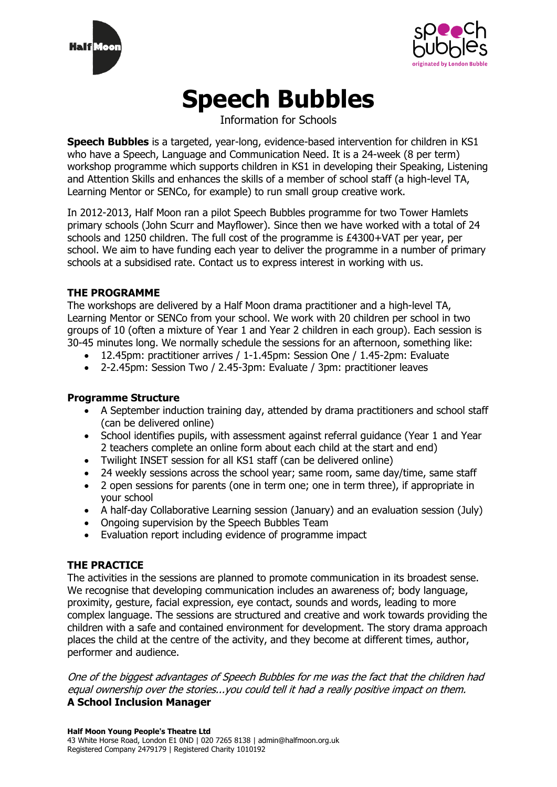



# **Speech Bubbles**

Information for Schools

**Speech Bubbles** is a targeted, year-long, evidence-based intervention for children in KS1 who have a Speech, Language and Communication Need. It is a 24-week (8 per term) workshop programme which supports children in KS1 in developing their Speaking, Listening and Attention Skills and enhances the skills of a member of school staff (a high-level TA, Learning Mentor or SENCo, for example) to run small group creative work.

In 2012-2013, Half Moon ran a pilot Speech Bubbles programme for two Tower Hamlets primary schools (John Scurr and Mayflower). Since then we have worked with a total of 24 schools and 1250 children. The full cost of the programme is £4300+VAT per year, per school. We aim to have funding each year to deliver the programme in a number of primary schools at a subsidised rate. Contact us to express interest in working with us.

# **THE PROGRAMME**

The workshops are delivered by a Half Moon drama practitioner and a high-level TA, Learning Mentor or SENCo from your school. We work with 20 children per school in two groups of 10 (often a mixture of Year 1 and Year 2 children in each group). Each session is 30-45 minutes long. We normally schedule the sessions for an afternoon, something like:

- 12.45pm: practitioner arrives / 1-1.45pm: Session One / 1.45-2pm: Evaluate
- 2-2.45pm: Session Two / 2.45-3pm: Evaluate / 3pm: practitioner leaves

## **Programme Structure**

- A September induction training day, attended by drama practitioners and school staff (can be delivered online)
- School identifies pupils, with assessment against referral guidance (Year 1 and Year 2 teachers complete an online form about each child at the start and end)
- Twilight INSET session for all KS1 staff (can be delivered online)
- 24 weekly sessions across the school year; same room, same day/time, same staff
- 2 open sessions for parents (one in term one; one in term three), if appropriate in your school
- A half-day Collaborative Learning session (January) and an evaluation session (July)
- Ongoing supervision by the Speech Bubbles Team
- Evaluation report including evidence of programme impact

# **THE PRACTICE**

The activities in the sessions are planned to promote communication in its broadest sense. We recognise that developing communication includes an awareness of: body language, proximity, gesture, facial expression, eye contact, sounds and words, leading to more complex language. The sessions are structured and creative and work towards providing the children with a safe and contained environment for development. The story drama approach places the child at the centre of the activity, and they become at different times, author, performer and audience.

One of the biggest advantages of Speech Bubbles for me was the fact that the children had equal ownership over the stories...you could tell it had a really positive impact on them. **A School Inclusion Manager**